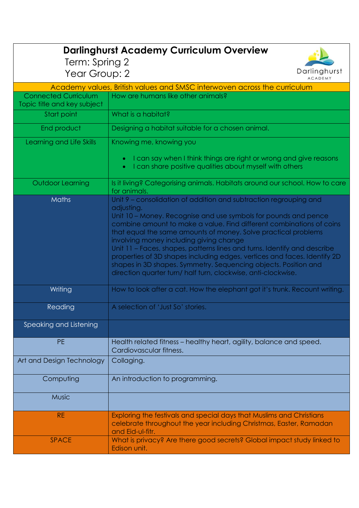| <b>Darlinghurst Academy Curriculum Overview</b>                          |                                                                                                                                                                                                                                                                                                                                                                                                                                                                                                                                                                                                                                     |
|--------------------------------------------------------------------------|-------------------------------------------------------------------------------------------------------------------------------------------------------------------------------------------------------------------------------------------------------------------------------------------------------------------------------------------------------------------------------------------------------------------------------------------------------------------------------------------------------------------------------------------------------------------------------------------------------------------------------------|
|                                                                          |                                                                                                                                                                                                                                                                                                                                                                                                                                                                                                                                                                                                                                     |
| Darlinghurst<br>Year Group: 2<br><b>ACADEMY</b>                          |                                                                                                                                                                                                                                                                                                                                                                                                                                                                                                                                                                                                                                     |
| Academy values, British values and SMSC interwoven across the curriculum |                                                                                                                                                                                                                                                                                                                                                                                                                                                                                                                                                                                                                                     |
| <b>Connected Curriculum</b><br>Topic title and key subject               | How are humans like other animals?                                                                                                                                                                                                                                                                                                                                                                                                                                                                                                                                                                                                  |
| Start point                                                              | What is a habitat?                                                                                                                                                                                                                                                                                                                                                                                                                                                                                                                                                                                                                  |
| End product                                                              | Designing a habitat suitable for a chosen animal.                                                                                                                                                                                                                                                                                                                                                                                                                                                                                                                                                                                   |
| Learning and Life Skills                                                 | Knowing me, knowing you                                                                                                                                                                                                                                                                                                                                                                                                                                                                                                                                                                                                             |
|                                                                          | I can say when I think things are right or wrong and give reasons<br>I can share positive qualities about myself with others<br>$\bullet$                                                                                                                                                                                                                                                                                                                                                                                                                                                                                           |
| Outdoor Learning                                                         | Is it living? Categorising animals. Habitats around our school. How to care<br>for animals.                                                                                                                                                                                                                                                                                                                                                                                                                                                                                                                                         |
| Maths                                                                    | Unit 9 - consolidation of addition and subtraction regrouping and<br>adjusting.<br>Unit 10 – Money. Recognise and use symbols for pounds and pence<br>combine amount to make a value. Find different combinations of coins<br>that equal the same amounts of money. Solve practical problems<br>involving money including giving change<br>Unit 11 - Faces, shapes, patterns lines and turns. Identify and describe<br>properties of 3D shapes including edges, vertices and faces. Identify 2D<br>shapes in 3D shapes. Symmetry. Sequencing objects. Position and<br>direction quarter turn/ half turn, clockwise, anti-clockwise. |
| Writing                                                                  | How to look after a cat. How the elephant got it's trunk. Recount writing.                                                                                                                                                                                                                                                                                                                                                                                                                                                                                                                                                          |
| Reading                                                                  | A selection of 'Just So' stories.                                                                                                                                                                                                                                                                                                                                                                                                                                                                                                                                                                                                   |
| Speaking and Listening                                                   |                                                                                                                                                                                                                                                                                                                                                                                                                                                                                                                                                                                                                                     |
| <b>PE</b>                                                                | Health related fitness - healthy heart, agility, balance and speed.<br>Cardiovascular fitness.                                                                                                                                                                                                                                                                                                                                                                                                                                                                                                                                      |
| Art and Design Technology                                                | Collaging.                                                                                                                                                                                                                                                                                                                                                                                                                                                                                                                                                                                                                          |
| Computing                                                                | An introduction to programming.                                                                                                                                                                                                                                                                                                                                                                                                                                                                                                                                                                                                     |
| <b>Music</b>                                                             |                                                                                                                                                                                                                                                                                                                                                                                                                                                                                                                                                                                                                                     |
| <b>RE</b>                                                                | Exploring the festivals and special days that Muslims and Christians<br>celebrate throughout the year including Christmas, Easter, Ramadan<br>and Eid-ul-fitr.                                                                                                                                                                                                                                                                                                                                                                                                                                                                      |
| <b>SPACE</b>                                                             | What is privacy? Are there good secrets? Global impact study linked to<br>Edison unit.                                                                                                                                                                                                                                                                                                                                                                                                                                                                                                                                              |